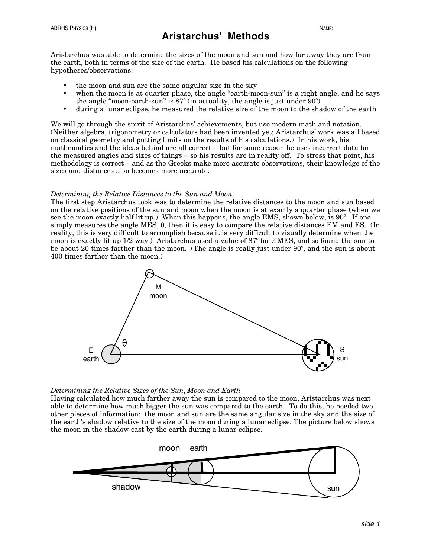Aristarchus was able to determine the sizes of the moon and sun and how far away they are from the earth, both in terms of the size of the earth. He based his calculations on the following hypotheses/observations:

- the moon and sun are the same angular size in the sky
- when the moon is at quarter phase, the angle "earth-moon-sun" is a right angle, and he says the angle "moon-earth-sun" is  $87^\circ$  (in actuality, the angle is just under  $90^\circ$ )
- during a lunar eclipse, he measured the relative size of the moon to the shadow of the earth

We will go through the spirit of Aristarchus' achievements, but use modern math and notation. (Neither algebra, trigonometry or calculators had been invented yet; Aristarchus' work was all based on classical geometry and putting limits on the results of his calculations.) In his work, his mathematics and the ideas behind are all correct – but for some reason he uses incorrect data for the measured angles and sizes of things – so his results are in reality off. To stress that point, his methodology is correct – and as the Greeks make more accurate observations, their knowledge of the sizes and distances also becomes more accurate.

## *Determining the Relative Distances to the Sun and Moon*

The first step Aristarchus took was to determine the relative distances to the moon and sun based on the relative positions of the sun and moon when the moon is at exactly a quarter phase (when we see the moon exactly half lit up.) When this happens, the angle EMS, shown below, is 90º. If one simply measures the angle MES, θ, then it is easy to compare the relative distances EM and ES. (In reality, this is very difficult to accomplish because it is very difficult to visually determine when the moon is exactly lit up 1/2 way.) Aristarchus used a value of 87º for ∠MES, and so found the sun to be about 20 times farther than the moon. (The angle is really just under 90º, and the sun is about 400 times farther than the moon.)



## *Determining the Relative Sizes of the Sun, Moon and Earth*

Having calculated how much farther away the sun is compared to the moon, Aristarchus was next able to determine how much bigger the sun was compared to the earth. To do this, he needed two other pieces of information: the moon and sun are the same angular size in the sky and the size of the earth's shadow relative to the size of the moon during a lunar eclipse. The picture below shows the moon in the shadow cast by the earth during a lunar eclipse.

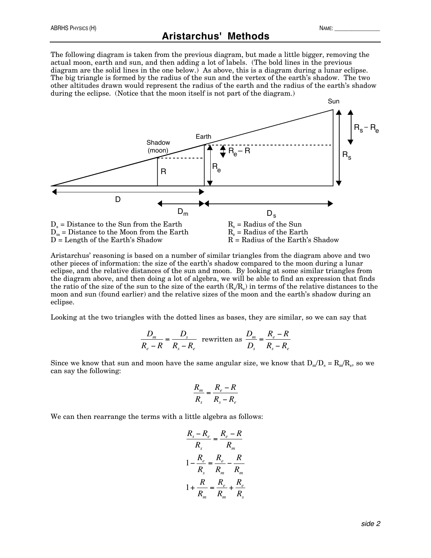The following diagram is taken from the previous diagram, but made a little bigger, removing the actual moon, earth and sun, and then adding a lot of labels. (The bold lines in the previous diagram are the solid lines in the one below.) As above, this is a diagram during a lunar eclipse. The big triangle is formed by the radius of the sun and the vertex of the earth's shadow. The two other altitudes drawn would represent the radius of the earth and the radius of the earth's shadow during the eclipse. (Notice that the moon itself is not part of the diagram.)



Aristarchus' reasoning is based on a number of similar triangles from the diagram above and two other pieces of information: the size of the earth's shadow compared to the moon during a lunar eclipse, and the relative distances of the sun and moon. By looking at some similar triangles from the diagram above, and then doing a lot of algebra, we will be able to find an expression that finds the ratio of the size of the sun to the size of the earth  $(R_s/R_e)$  in terms of the relative distances to the moon and sun (found earlier) and the relative sizes of the moon and the earth's shadow during an eclipse.

Looking at the two triangles with the dotted lines as bases, they are similar, so we can say that

$$
\frac{D_m}{R_e - R} = \frac{D_s}{R_s - R_e}
$$
 rewritten as 
$$
\frac{D_m}{D_s} = \frac{R_e - R}{R_s - R_e}
$$

Since we know that sun and moon have the same angular size, we know that  $D_m/D_s = R_m/R_s$ , so we can say the following:

$$
\frac{R_m}{R_s} = \frac{R_e - R}{R_s - R_e}
$$

We can then rearrange the terms with a little algebra as follows:

$$
\frac{R_s - R_e}{R_s} = \frac{R_e - R}{R_m}
$$

$$
1 - \frac{R_e}{R_s} = \frac{R_e}{R_m} - \frac{R}{R_m}
$$

$$
1 + \frac{R}{R_m} = \frac{R_e}{R_m} + \frac{R_e}{R_s}
$$